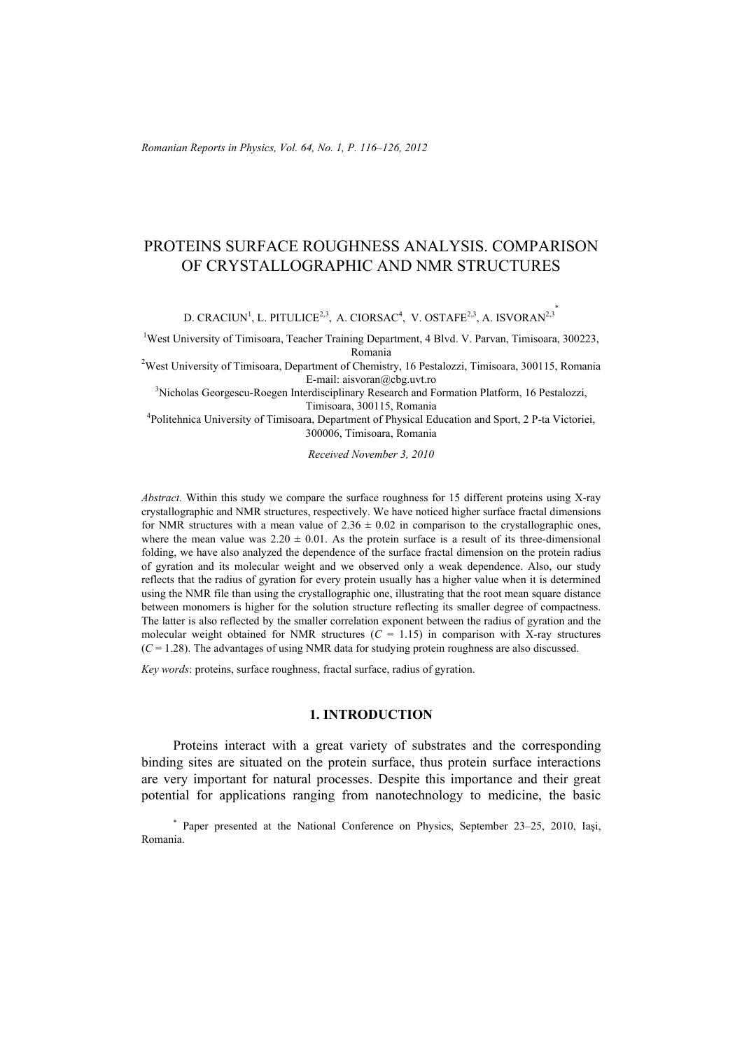# PROTEINS SURFACE ROUGHNESS ANALYSIS. COMPARISON OF CRYSTALLOGRAPHIC AND NMR STRUCTURES

D. CRACIUN<sup>1</sup>, L. PITULICE<sup>2,3</sup>, A. CIORSAC<sup>4</sup>, V. OSTAFE<sup>2,3</sup>, A. ISVORAN<sup>2,3</sup>

<sup>1</sup>West University of Timisoara, Teacher Training Department, 4 Blvd. V. Parvan, Timisoara, 300223, Romania 2 West University of Timisoara, Department of Chemistry, 16 Pestalozzi, Timisoara, 300115, Romania

E-mail: aisvoran@cbg.uvt.ro 3 Nicholas Georgescu-Roegen Interdisciplinary Research and Formation Platform, 16 Pestalozzi,

Timisoara, 300115, Romania<br><sup>4</sup>Politehnica University of Timisoara, Department of Physical Education and Sport, 2 P-ta Victoriei,

300006, Timisoara, Romania

*Received November 3, 2010* 

*Abstract.* Within this study we compare the surface roughness for 15 different proteins using X-ray crystallographic and NMR structures, respectively. We have noticed higher surface fractal dimensions for NMR structures with a mean value of  $2.36 \pm 0.02$  in comparison to the crystallographic ones, where the mean value was  $2.20 \pm 0.01$ . As the protein surface is a result of its three-dimensional folding, we have also analyzed the dependence of the surface fractal dimension on the protein radius of gyration and its molecular weight and we observed only a weak dependence. Also, our study reflects that the radius of gyration for every protein usually has a higher value when it is determined using the NMR file than using the crystallographic one, illustrating that the root mean square distance between monomers is higher for the solution structure reflecting its smaller degree of compactness. The latter is also reflected by the smaller correlation exponent between the radius of gyration and the molecular weight obtained for NMR structures  $(C = 1.15)$  in comparison with X-ray structures  $(C = 1.28)$ . The advantages of using NMR data for studying protein roughness are also discussed.

*Key words*: proteins, surface roughness, fractal surface, radius of gyration.

## **1. INTRODUCTION**

 Proteins interact with a great variety of substrates and the corresponding binding sites are situated on the protein surface, thus protein surface interactions are very important for natural processes. Despite this importance and their great potential for applications ranging from nanotechnology to medicine, the basic

\* Paper presented at the National Conference on Physics, September 23–25, 2010, Iaşi, Romania.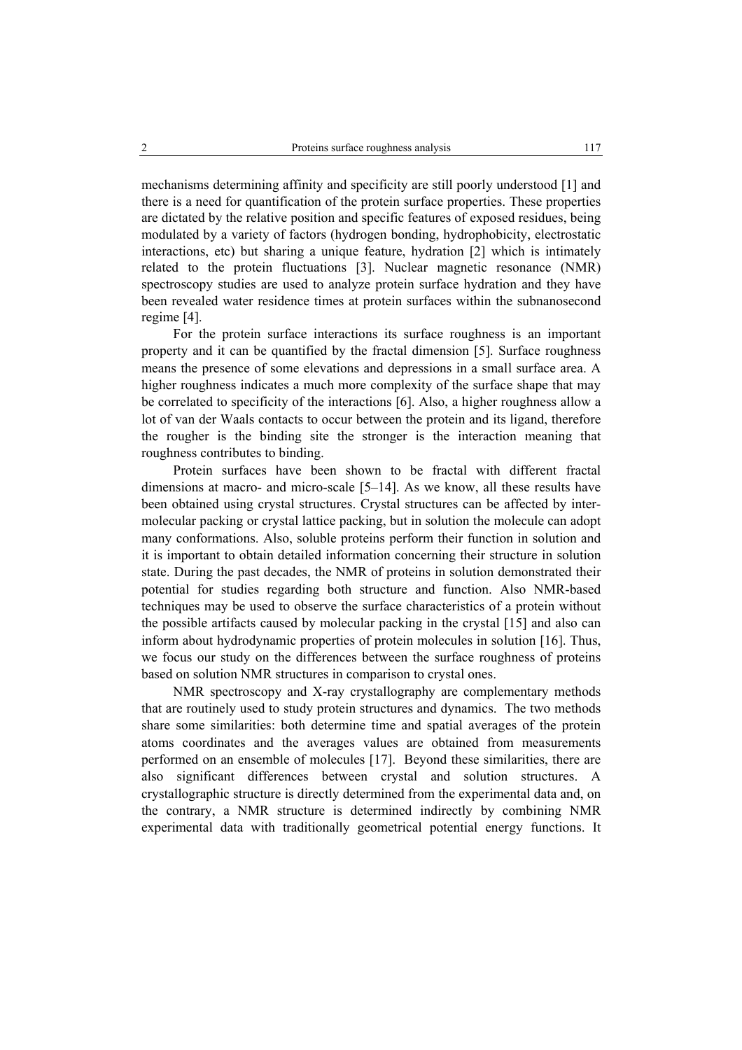mechanisms determining affinity and specificity are still poorly understood [1] and there is a need for quantification of the protein surface properties. These properties are dictated by the relative position and specific features of exposed residues, being modulated by a variety of factors (hydrogen bonding, hydrophobicity, electrostatic interactions, etc) but sharing a unique feature, hydration [2] which is intimately related to the protein fluctuations [3]. Nuclear magnetic resonance (NMR) spectroscopy studies are used to analyze protein surface hydration and they have been revealed water residence times at protein surfaces within the subnanosecond regime [4].

 For the protein surface interactions its surface roughness is an important property and it can be quantified by the fractal dimension [5]. Surface roughness means the presence of some elevations and depressions in a small surface area. A higher roughness indicates a much more complexity of the surface shape that may be correlated to specificity of the interactions [6]. Also, a higher roughness allow a lot of van der Waals contacts to occur between the protein and its ligand, therefore the rougher is the binding site the stronger is the interaction meaning that roughness contributes to binding.

 Protein surfaces have been shown to be fractal with different fractal dimensions at macro- and micro-scale [5–14]. As we know, all these results have been obtained using crystal structures. Crystal structures can be affected by intermolecular packing or crystal lattice packing, but in solution the molecule can adopt many conformations. Also, soluble proteins perform their function in solution and it is important to obtain detailed information concerning their structure in solution state. During the past decades, the NMR of proteins in solution demonstrated their potential for studies regarding both structure and function. Also NMR-based techniques may be used to observe the surface characteristics of a protein without the possible artifacts caused by molecular packing in the crystal [15] and also can inform about hydrodynamic properties of protein molecules in solution [16]. Thus, we focus our study on the differences between the surface roughness of proteins based on solution NMR structures in comparison to crystal ones.

 NMR spectroscopy and X-ray crystallography are complementary methods that are routinely used to study protein structures and dynamics. The two methods share some similarities: both determine time and spatial averages of the protein atoms coordinates and the averages values are obtained from measurements performed on an ensemble of molecules [17]. Beyond these similarities, there are also significant differences between crystal and solution structures. A crystallographic structure is directly determined from the experimental data and, on the contrary, a NMR structure is determined indirectly by combining NMR experimental data with traditionally geometrical potential energy functions. It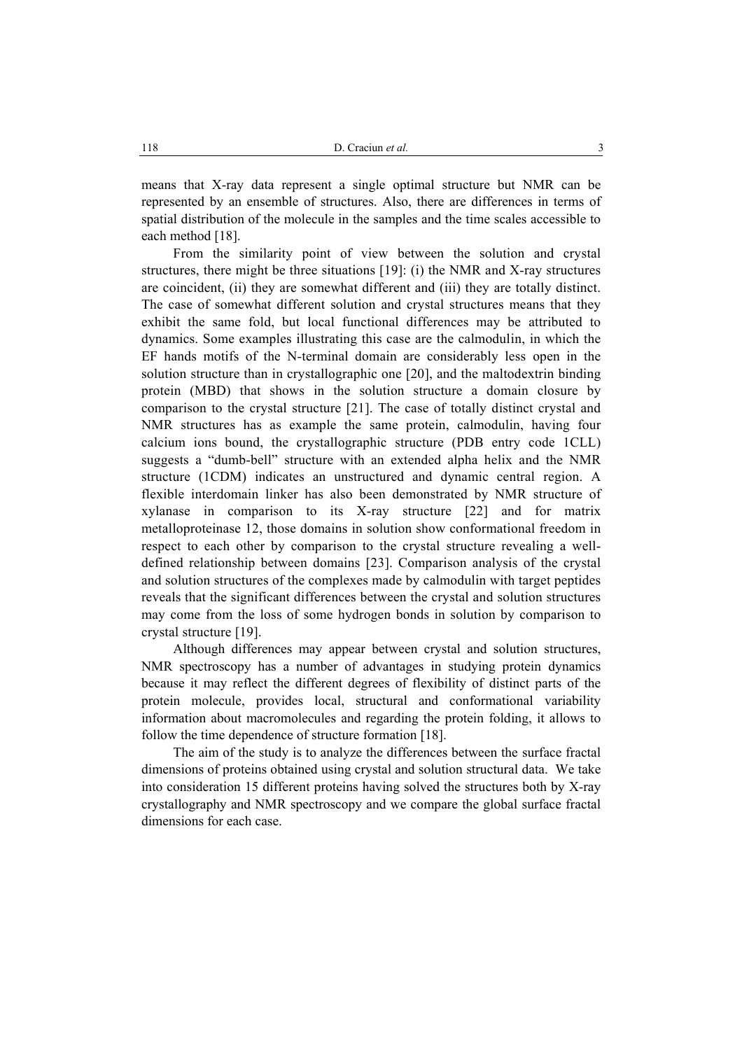means that X-ray data represent a single optimal structure but NMR can be represented by an ensemble of structures. Also, there are differences in terms of spatial distribution of the molecule in the samples and the time scales accessible to each method [18].

 From the similarity point of view between the solution and crystal structures, there might be three situations [19]: (i) the NMR and X-ray structures are coincident, (ii) they are somewhat different and (iii) they are totally distinct. The case of somewhat different solution and crystal structures means that they exhibit the same fold, but local functional differences may be attributed to dynamics. Some examples illustrating this case are the calmodulin, in which the EF hands motifs of the N-terminal domain are considerably less open in the solution structure than in crystallographic one [20], and the maltodextrin binding protein (MBD) that shows in the solution structure a domain closure by comparison to the crystal structure [21]. The case of totally distinct crystal and NMR structures has as example the same protein, calmodulin, having four calcium ions bound, the crystallographic structure (PDB entry code 1CLL) suggests a "dumb-bell" structure with an extended alpha helix and the NMR structure (1CDM) indicates an unstructured and dynamic central region. A flexible interdomain linker has also been demonstrated by NMR structure of xylanase in comparison to its X-ray structure [22] and for matrix metalloproteinase 12, those domains in solution show conformational freedom in respect to each other by comparison to the crystal structure revealing a welldefined relationship between domains [23]. Comparison analysis of the crystal and solution structures of the complexes made by calmodulin with target peptides reveals that the significant differences between the crystal and solution structures may come from the loss of some hydrogen bonds in solution by comparison to crystal structure [19].

 Although differences may appear between crystal and solution structures, NMR spectroscopy has a number of advantages in studying protein dynamics because it may reflect the different degrees of flexibility of distinct parts of the protein molecule, provides local, structural and conformational variability information about macromolecules and regarding the protein folding, it allows to follow the time dependence of structure formation [18].

The aim of the study is to analyze the differences between the surface fractal dimensions of proteins obtained using crystal and solution structural data. We take into consideration 15 different proteins having solved the structures both by X-ray crystallography and NMR spectroscopy and we compare the global surface fractal dimensions for each case.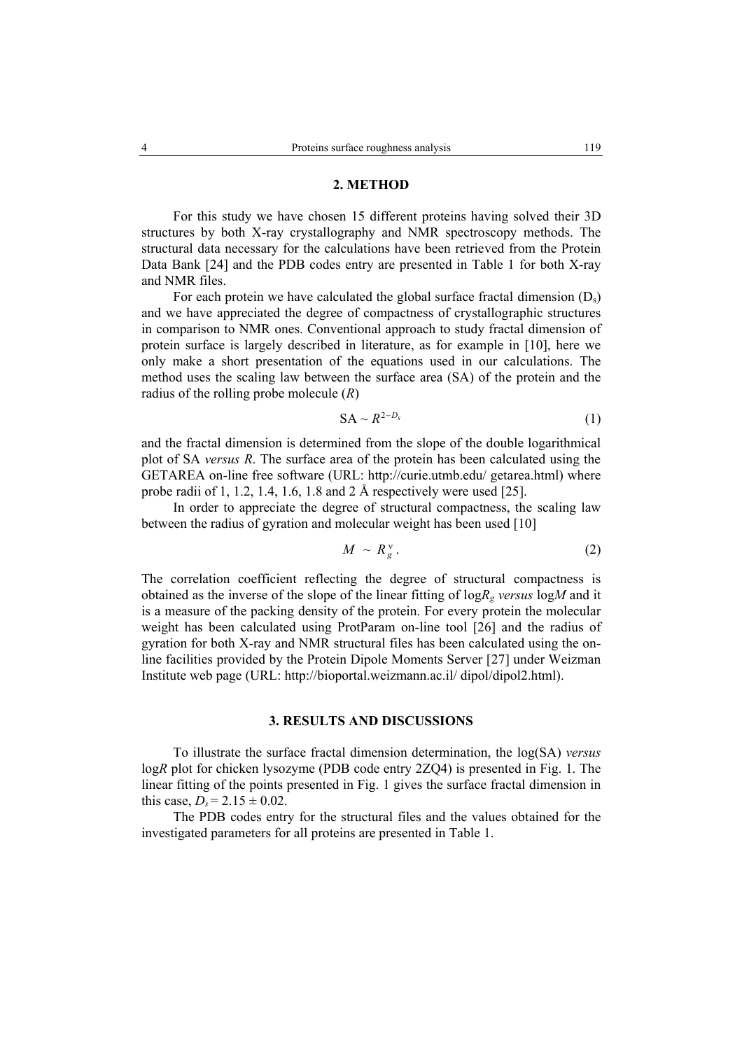## **2. METHOD**

For this study we have chosen 15 different proteins having solved their 3D structures by both X-ray crystallography and NMR spectroscopy methods. The structural data necessary for the calculations have been retrieved from the Protein Data Bank [24] and the PDB codes entry are presented in Table 1 for both X-ray and NMR files.

For each protein we have calculated the global surface fractal dimension  $(D_s)$ and we have appreciated the degree of compactness of crystallographic structures in comparison to NMR ones. Conventional approach to study fractal dimension of protein surface is largely described in literature, as for example in [10], here we only make a short presentation of the equations used in our calculations. The method uses the scaling law between the surface area (SA) of the protein and the radius of the rolling probe molecule (*R*)

$$
SA \sim R^{2-D_s} \tag{1}
$$

and the fractal dimension is determined from the slope of the double logarithmical plot of SA *versus R*. The surface area of the protein has been calculated using the GETAREA on-line free software (URL: http://curie.utmb.edu/ getarea.html) where probe radii of 1, 1.2, 1.4, 1.6, 1.8 and 2 Å respectively were used [25].

In order to appreciate the degree of structural compactness, the scaling law between the radius of gyration and molecular weight has been used [10]

$$
M \sim R_g^{\nu} \tag{2}
$$

The correlation coefficient reflecting the degree of structural compactness is obtained as the inverse of the slope of the linear fitting of  $logR<sub>e</sub>$  *versus*  $logM$  and it is a measure of the packing density of the protein. For every protein the molecular weight has been calculated using ProtParam on-line tool [26] and the radius of gyration for both X-ray and NMR structural files has been calculated using the online facilities provided by the Protein Dipole Moments Server [27] under Weizman Institute web page (URL: http://bioportal.weizmann.ac.il/ dipol/dipol2.html).

## **3. RESULTS AND DISCUSSIONS**

To illustrate the surface fractal dimension determination, the log(SA) *versus* log*R* plot for chicken lysozyme (PDB code entry 2ZQ4) is presented in Fig. 1. The linear fitting of the points presented in Fig. 1 gives the surface fractal dimension in this case,  $D_s = 2.15 \pm 0.02$ .

The PDB codes entry for the structural files and the values obtained for the investigated parameters for all proteins are presented in Table 1.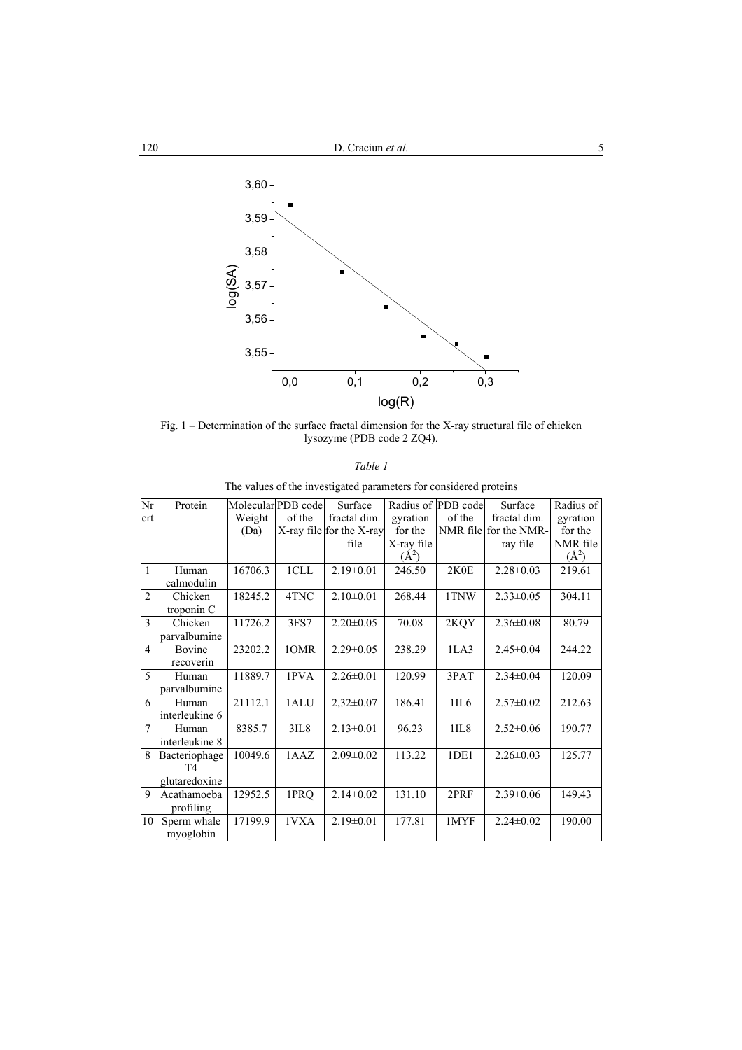

Fig. 1 – Determination of the surface fractal dimension for the X-ray structural file of chicken lysozyme (PDB code 2 ZQ4).

|--|--|

The values of the investigated parameters for considered proteins

| Nr             | Protein        |         | Molecular PDB code | Surface                  |            | Radius of PDB code | Surface               | Radius of |
|----------------|----------------|---------|--------------------|--------------------------|------------|--------------------|-----------------------|-----------|
| crt            |                | Weight  | of the             | fractal dim.             | gyration   | of the             | fractal dim.          | gyration  |
|                |                | (Da)    |                    | X-ray file for the X-ray | for the    |                    | NMR file for the NMR- | for the   |
|                |                |         |                    | file                     | X-ray file |                    | ray file              | NMR file  |
|                |                |         |                    |                          | $(\AA^2)$  |                    |                       | $(\AA^2)$ |
| 1              | Human          | 16706.3 | 1CLL               | $2.19 \pm 0.01$          | 246.50     | 2K0E               | $2.28 \pm 0.03$       | 219.61    |
|                | calmodulin     |         |                    |                          |            |                    |                       |           |
| $\overline{2}$ | Chicken        | 18245.2 | 4TNC               | $2.10\pm0.01$            | 268.44     | 1TNW               | $2.33 \pm 0.05$       | 304.11    |
|                | troponin C     |         |                    |                          |            |                    |                       |           |
| $\mathcal{E}$  | Chicken        | 11726.2 | 3FS7               | $2.20 \pm 0.05$          | 70.08      | 2KQY               | $2.36 \pm 0.08$       | 80.79     |
|                | parvalbumine   |         |                    |                          |            |                    |                       |           |
| $\overline{4}$ | Bovine         | 23202.2 | 10MR               | $2.29 \pm 0.05$          | 238.29     | 1LA3               | $2.45 \pm 0.04$       | 244.22    |
|                | recoverin      |         |                    |                          |            |                    |                       |           |
| 5              | Human          | 11889.7 | 1PVA               | $2.26 \pm 0.01$          | 120.99     | 3PAT               | $2.34 \pm 0.04$       | 120.09    |
|                | parvalbumine   |         |                    |                          |            |                    |                       |           |
| 6              | Human          | 21112.1 | 1ALU               | $2,32\pm0.07$            | 186.41     | 1IL6               | $2.57 \pm 0.02$       | 212.63    |
|                | interleukine 6 |         |                    |                          |            |                    |                       |           |
| $\overline{7}$ | Human          | 8385.7  | 3IL8               | $2.13 \pm 0.01$          | 96.23      | 1IL8               | $2.52 \pm 0.06$       | 190.77    |
|                | interleukine 8 |         |                    |                          |            |                    |                       |           |
| 8              | Bacteriophage  | 10049.6 | 1AAZ               | $2.09 \pm 0.02$          | 113.22     | 1DE1               | $2.26 \pm 0.03$       | 125.77    |
|                | T <sub>4</sub> |         |                    |                          |            |                    |                       |           |
|                | glutaredoxine  |         |                    |                          |            |                    |                       |           |
| 9              | Acathamoeba    | 12952.5 | 1PRQ               | $2.14 \pm 0.02$          | 131.10     | 2PRF               | $2.39 \pm 0.06$       | 149.43    |
|                | profiling      |         |                    |                          |            |                    |                       |           |
| 10             | Sperm whale    | 17199.9 | 1VXA               | $2.19 \pm 0.01$          | 177.81     | 1MYF               | $2.24 \pm 0.02$       | 190.00    |
|                | myoglobin      |         |                    |                          |            |                    |                       |           |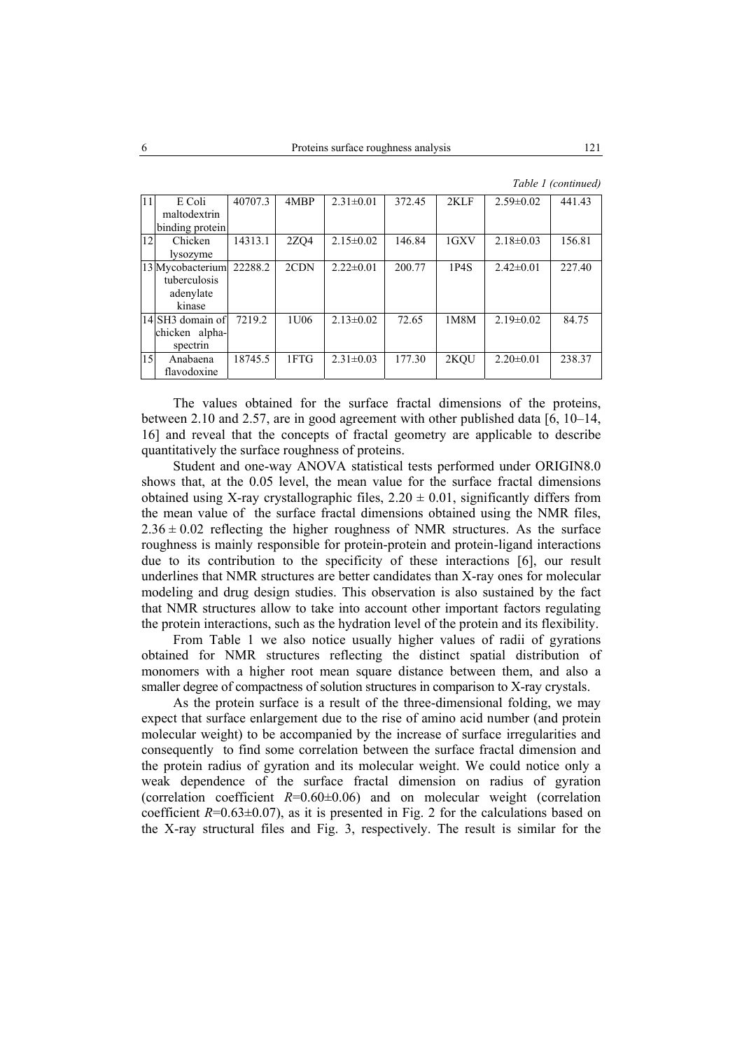|  | Table 1 (continued) |
|--|---------------------|
|--|---------------------|

| l 11 | E Coli           | 40707.3 | 4MBP | $2.31 \pm 0.01$ | 372.45 | 2KLF | $2.59\pm0.02$   | 441.43 |
|------|------------------|---------|------|-----------------|--------|------|-----------------|--------|
|      | maltodextrin     |         |      |                 |        |      |                 |        |
|      | binding protein  |         |      |                 |        |      |                 |        |
| 12   | Chicken          | 14313.1 | 2ZQ4 | $2.15 \pm 0.02$ | 146.84 | 1GXV | $2.18 \pm 0.03$ | 156.81 |
|      | lysozyme         |         |      |                 |        |      |                 |        |
|      | 13 Mycobacterium | 22288.2 | 2CDN | $2.22 \pm 0.01$ | 200.77 | 1P4S | $2.42\pm0.01$   | 227.40 |
|      | tuberculosis     |         |      |                 |        |      |                 |        |
|      | adenylate        |         |      |                 |        |      |                 |        |
|      | kinase           |         |      |                 |        |      |                 |        |
|      | 14 SH3 domain of | 7219.2  | 1U06 | $2.13 \pm 0.02$ | 72.65  | 1M8M | $2.19\pm0.02$   | 84.75  |
|      | chicken alpha-   |         |      |                 |        |      |                 |        |
|      | spectrin         |         |      |                 |        |      |                 |        |
| 15   | Anabaena         | 18745.5 | 1FTG | $2.31 \pm 0.03$ | 177.30 | 2KOU | $2.20 \pm 0.01$ | 238.37 |
|      | flavodoxine      |         |      |                 |        |      |                 |        |

The values obtained for the surface fractal dimensions of the proteins, between 2.10 and 2.57, are in good agreement with other published data  $[6, 10-14,$ 16] and reveal that the concepts of fractal geometry are applicable to describe quantitatively the surface roughness of proteins.

Student and one-way ANOVA statistical tests performed under ORIGIN8.0 shows that, at the 0.05 level, the mean value for the surface fractal dimensions obtained using X-ray crystallographic files,  $2.20 \pm 0.01$ , significantly differs from the mean value of the surface fractal dimensions obtained using the NMR files,  $2.36 \pm 0.02$  reflecting the higher roughness of NMR structures. As the surface roughness is mainly responsible for protein-protein and protein-ligand interactions due to its contribution to the specificity of these interactions [6], our result underlines that NMR structures are better candidates than X-ray ones for molecular modeling and drug design studies. This observation is also sustained by the fact that NMR structures allow to take into account other important factors regulating the protein interactions, such as the hydration level of the protein and its flexibility.

From Table 1 we also notice usually higher values of radii of gyrations obtained for NMR structures reflecting the distinct spatial distribution of monomers with a higher root mean square distance between them, and also a smaller degree of compactness of solution structures in comparison to X-ray crystals.

As the protein surface is a result of the three-dimensional folding, we may expect that surface enlargement due to the rise of amino acid number (and protein molecular weight) to be accompanied by the increase of surface irregularities and consequently to find some correlation between the surface fractal dimension and the protein radius of gyration and its molecular weight. We could notice only a weak dependence of the surface fractal dimension on radius of gyration (correlation coefficient  $R=0.60\pm0.06$ ) and on molecular weight (correlation coefficient  $R=0.63\pm0.07$ ), as it is presented in Fig. 2 for the calculations based on the X-ray structural files and Fig. 3, respectively. The result is similar for the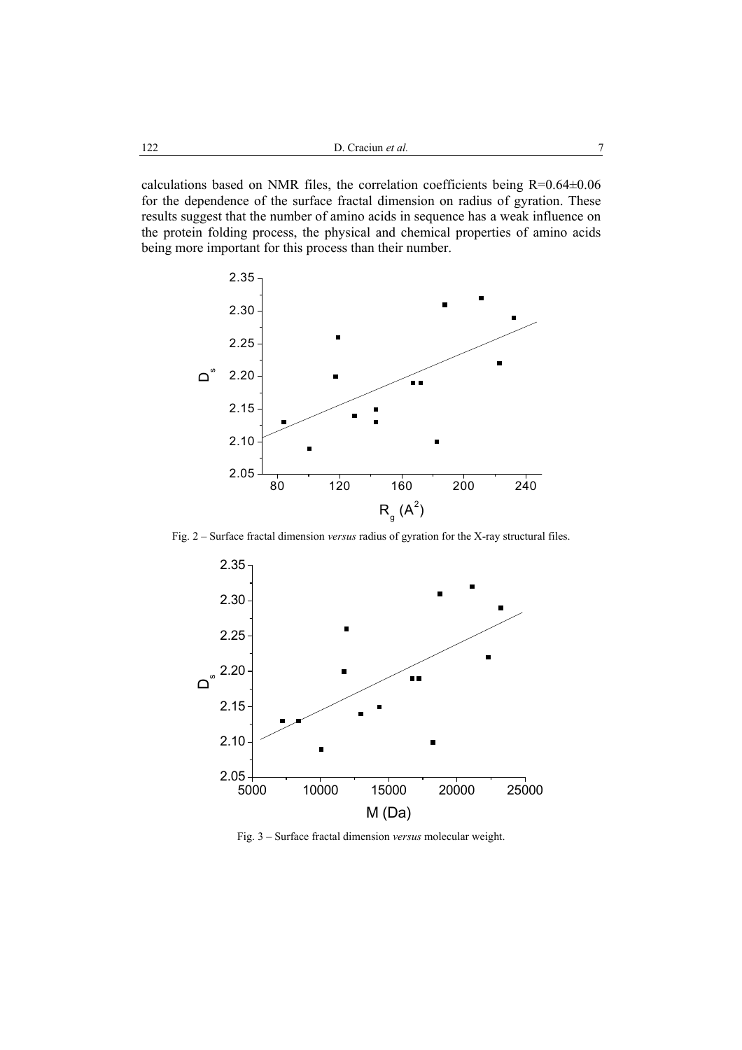calculations based on NMR files, the correlation coefficients being R=0.64±0.06 for the dependence of the surface fractal dimension on radius of gyration. These results suggest that the number of amino acids in sequence has a weak influence on the protein folding process, the physical and chemical properties of amino acids being more important for this process than their number.



Fig. 2 – Surface fractal dimension *versus* radius of gyration for the X-ray structural files.



Fig. 3 – Surface fractal dimension *versus* molecular weight.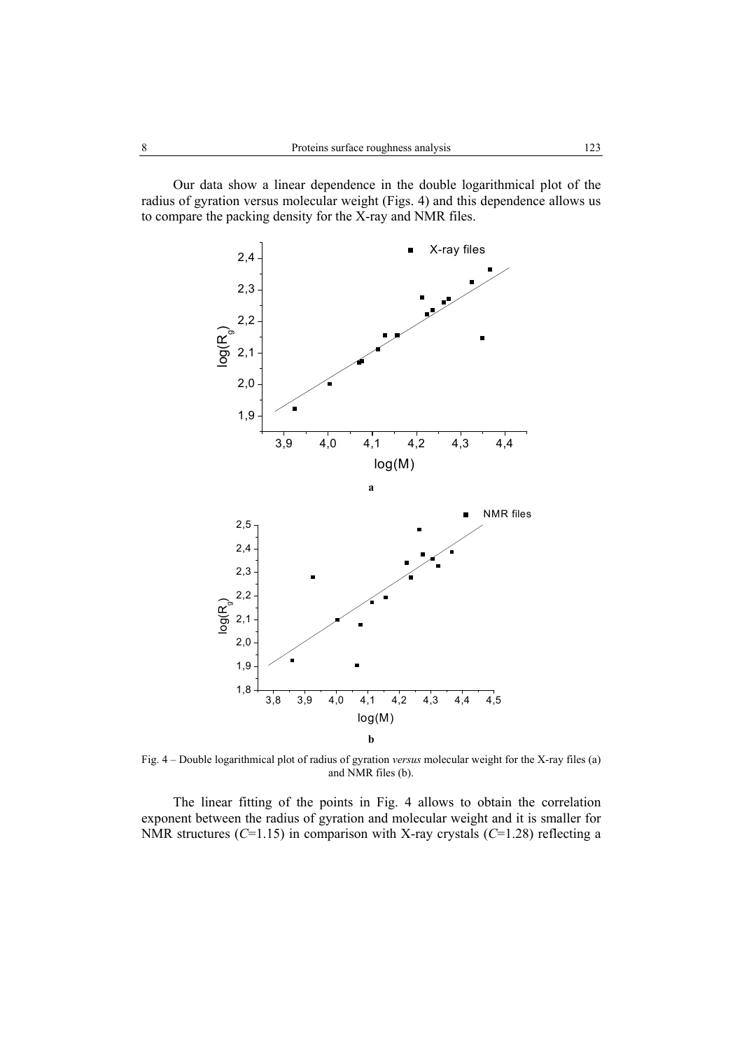Our data show a linear dependence in the double logarithmical plot of the radius of gyration versus molecular weight (Figs. 4) and this dependence allows us to compare the packing density for the X-ray and NMR files.



Fig. 4 – Double logarithmical plot of radius of gyration *versus* molecular weight for the X-ray files (a) and NMR files (b).

The linear fitting of the points in Fig. 4 allows to obtain the correlation exponent between the radius of gyration and molecular weight and it is smaller for NMR structures (*C*=1.15) in comparison with X-ray crystals (*C*=1.28) reflecting a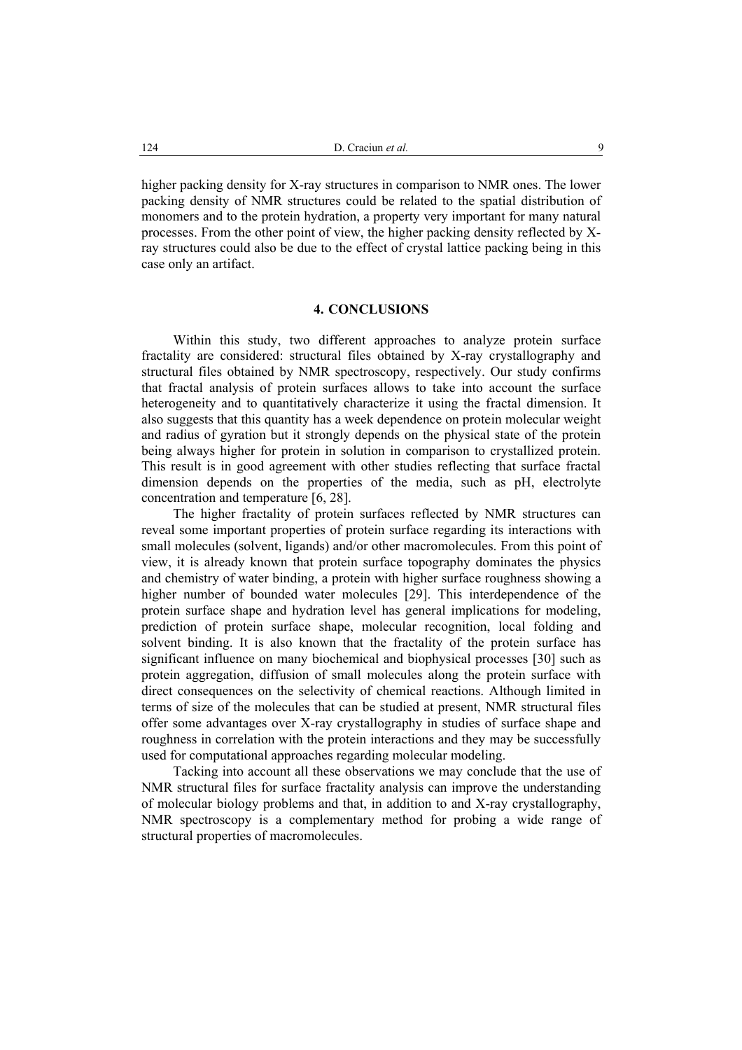higher packing density for X-ray structures in comparison to NMR ones. The lower packing density of NMR structures could be related to the spatial distribution of monomers and to the protein hydration, a property very important for many natural processes. From the other point of view, the higher packing density reflected by Xray structures could also be due to the effect of crystal lattice packing being in this case only an artifact.

## **4. CONCLUSIONS**

Within this study, two different approaches to analyze protein surface fractality are considered: structural files obtained by X-ray crystallography and structural files obtained by NMR spectroscopy, respectively. Our study confirms that fractal analysis of protein surfaces allows to take into account the surface heterogeneity and to quantitatively characterize it using the fractal dimension. It also suggests that this quantity has a week dependence on protein molecular weight and radius of gyration but it strongly depends on the physical state of the protein being always higher for protein in solution in comparison to crystallized protein. This result is in good agreement with other studies reflecting that surface fractal dimension depends on the properties of the media, such as pH, electrolyte concentration and temperature [6, 28].

The higher fractality of protein surfaces reflected by NMR structures can reveal some important properties of protein surface regarding its interactions with small molecules (solvent, ligands) and/or other macromolecules. From this point of view, it is already known that protein surface topography dominates the physics and chemistry of water binding, a protein with higher surface roughness showing a higher number of bounded water molecules [29]. This interdependence of the protein surface shape and hydration level has general implications for modeling, prediction of protein surface shape, molecular recognition, local folding and solvent binding. It is also known that the fractality of the protein surface has significant influence on many biochemical and biophysical processes [30] such as protein aggregation, diffusion of small molecules along the protein surface with direct consequences on the selectivity of chemical reactions. Although limited in terms of size of the molecules that can be studied at present, NMR structural files offer some advantages over X-ray crystallography in studies of surface shape and roughness in correlation with the protein interactions and they may be successfully used for computational approaches regarding molecular modeling.

Tacking into account all these observations we may conclude that the use of NMR structural files for surface fractality analysis can improve the understanding of molecular biology problems and that, in addition to and X-ray crystallography, NMR spectroscopy is a complementary method for probing a wide range of structural properties of macromolecules.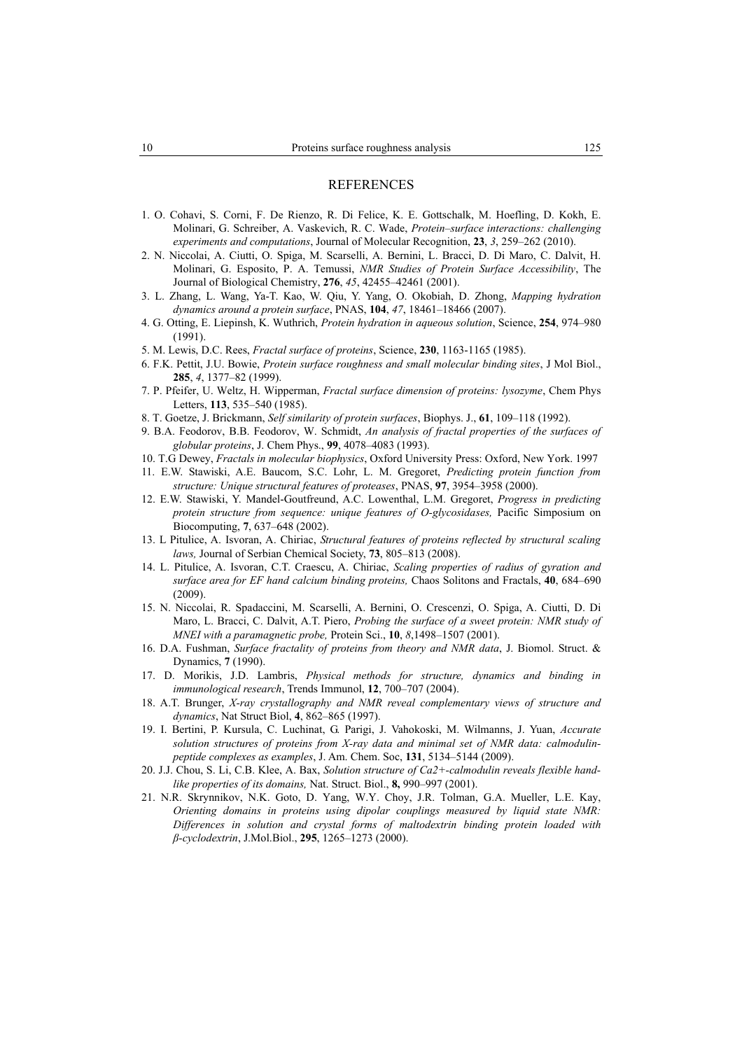#### REFERENCES

- 1. O. Cohavi, S. Corni, F. De Rienzo, R. Di Felice, K. E. Gottschalk, M. Hoefling, D. Kokh, E. Molinari, G. Schreiber, A. Vaskevich, R. C. Wade, *Protein–surface interactions: challenging experiments and computations*, Journal of Molecular Recognition, **23**, *3*, 259–262 (2010).
- 2. N. Niccolai, A. Ciutti, O. Spiga, M. Scarselli, A. Bernini, L. Bracci, D. Di Maro, C. Dalvit, H. Molinari, G. Esposito, P. A. Temussi, *NMR Studies of Protein Surface Accessibility*, The Journal of Biological Chemistry, **276**, *45*, 42455–42461 (2001).
- 3. L. Zhang, L. Wang, Ya-T. Kao, W. Qiu, Y. Yang, O. Okobiah, D. Zhong, *Mapping hydration dynamics around a protein surface*, PNAS, **104**, *47*, 18461–18466 (2007).
- 4. G. Otting, E. Liepinsh, K. Wuthrich, *Protein hydration in aqueous solution*, Science, **254**, 974–980 (1991).
- 5. M. Lewis, D.C. Rees, *Fractal surface of proteins*, Science, **230**, 1163-1165 (1985).
- 6. F.K. Pettit, J.U. Bowie, *Protein surface roughness and small molecular binding sites*, J Mol Biol., **285**, *4*, 1377–82 (1999).
- 7. P. Pfeifer, U. Weltz, H. Wipperman, *Fractal surface dimension of proteins: lysozyme*, Chem Phys Letters, **113**, 535–540 (1985).
- 8. T. Goetze, J. Brickmann, *Self similarity of protein surfaces*, Biophys. J., **61**, 109–118 (1992).
- 9. B.A. Feodorov, B.B. Feodorov, W. Schmidt, *An analysis of fractal properties of the surfaces of globular proteins*, J. Chem Phys., **99**, 4078–4083 (1993).
- 10. T.G Dewey, *Fractals in molecular biophysics*, Oxford University Press: Oxford, New York. 1997
- 11. E.W. Stawiski, A.E. Baucom, S.C. Lohr, L. M. Gregoret, *Predicting protein function from structure: Unique structural features of proteases*, PNAS, **97**, 3954–3958 (2000).
- 12. E.W. Stawiski, Y. Mandel-Goutfreund, A.C. Lowenthal, L.M. Gregoret, *Progress in predicting protein structure from sequence: unique features of O-glycosidases,* Pacific Simposium on Biocomputing, **7**, 637–648 (2002).
- 13. L Pitulice, A. Isvoran, A. Chiriac, *Structural features of proteins reflected by structural scaling laws,* Journal of Serbian Chemical Society, **73**, 805–813 (2008).
- 14. L. Pitulice, A. Isvoran, C.T. Craescu, A. Chiriac, *Scaling properties of radius of gyration and surface area for EF hand calcium binding proteins,* Chaos Solitons and Fractals, **40**, 684–690 (2009).
- 15. N. Niccolai, R. Spadaccini, M. Scarselli, A. Bernini, O. Crescenzi, O. Spiga, A. Ciutti, D. Di Maro, L. Bracci, C. Dalvit, A.T. Piero, *Probing the surface of a sweet protein: NMR study of MNEI with a paramagnetic probe,* Protein Sci., **10**, *8*,1498–1507 (2001).
- 16. D.A. Fushman, *Surface fractality of proteins from theory and NMR data*, J. Biomol. Struct. & Dynamics, **7** (1990).
- 17. D. Morikis, J.D. Lambris, *Physical methods for structure, dynamics and binding in immunological research*, Trends Immunol, **12**, 700–707 (2004).
- 18. A.T. Brunger, *X-ray crystallography and NMR reveal complementary views of structure and dynamics*, Nat Struct Biol, **4**, 862–865 (1997).
- 19. I. Bertini, P. Kursula, C. Luchinat, G. Parigi, J. Vahokoski, M. Wilmanns, J. Yuan, *Accurate solution structures of proteins from X-ray data and minimal set of NMR data: calmodulinpeptide complexes as examples*, J. Am. Chem. Soc, **131**, 5134–5144 (2009).
- 20. J.J. Chou, S. Li, C.B. Klee, A. Bax, *Solution structure of Ca2+-calmodulin reveals flexible handlike properties of its domains,* Nat. Struct. Biol., **8,** 990–997 (2001).
- 21. N.R. Skrynnikov, N.K. Goto, D. Yang, W.Y. Choy, J.R. Tolman, G.A. Mueller, L.E. Kay, *Orienting domains in proteins using dipolar couplings measured by liquid state NMR: Differences in solution and crystal forms of maltodextrin binding protein loaded with β-cyclodextrin*, J.Mol.Biol., **295**, 1265–1273 (2000).